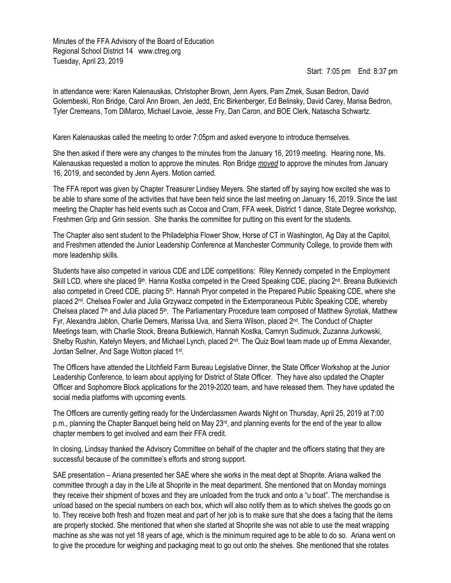Minutes of the FFA Advisory of the Board of Education Regional School District 14 www.ctreg.org Tuesday, April 23, 2019

Start: 7:05 pm End: 8:37 pm

In attendance were: Karen Kalenauskas, Christopher Brown, Jenn Ayers, Pam Zmek, Susan Bedron, David Golembeski, Ron Bridge, Carol Ann Brown, Jen Jedd, Eric Birkenberger, Ed Belinsky, David Carey, Marisa Bedron, Tyler Cremeans, Tom DiMarco, Michael Lavoie, Jesse Fry, Dan Caron, and BOE Clerk, Natascha Schwartz.

Karen Kalenauskas called the meeting to order 7:05pm and asked everyone to introduce themselves.

She then asked if there were any changes to the minutes from the January 16, 2019 meeting. Hearing none, Ms. Kalenauskas requested a motion to approve the minutes. Ron Bridge *moved* to approve the minutes from January 16, 2019, and seconded by Jenn Ayers. Motion carried.

The FFA report was given by Chapter Treasurer Lindsey Meyers. She started off by saying how excited she was to be able to share some of the activities that have been held since the last meeting on January 16, 2019. Since the last meeting the Chapter has held events such as Cocoa and Cram, FFA week, District 1 dance, State Degree workshop, Freshmen Grip and Grin session. She thanks the committee for putting on this event for the students.

The Chapter also sent student to the Philadelphia Flower Show, Horse of CT in Washington, Ag Day at the Capitol, and Freshmen attended the Junior Leadership Conference at Manchester Community College, to provide them with more leadership skills.

Students have also competed in various CDE and LDE competitions: Riley Kennedy competed in the Employment Skill LCD, where she placed  $9<sup>th</sup>$ . Hanna Kostka competed in the Creed Speaking CDE, placing  $2<sup>nd</sup>$ . Breana Butkievich also competed in Creed CDE, placing 5<sup>th</sup>. Hannah Pryor competed in the Prepared Public Speaking CDE, where she placed 2nd. Chelsea Fowler and Julia Grzywacz competed in the Extemporaneous Public Speaking CDE, whereby Chelsea placed  $7<sup>th</sup>$  and Julia placed  $5<sup>th</sup>$ . The Parliamentary Procedure team composed of Matthew Syrotiak, Matthew Fyr, Alexandra Jablon, Charlie Demers, Marissa Uva, and Sierra Wilson, placed 2nd. The Conduct of Chapter Meetings team, with Charlie Stock, Breana Butkiewich, Hannah Kostka, Camryn Sudimuck, Zuzanna Jurkowski, Shelby Rushin, Katelyn Meyers, and Michael Lynch, placed 2<sup>nd</sup>. The Quiz Bowl team made up of Emma Alexander, Jordan Sellner, And Sage Wotton placed 1st.

The Officers have attended the Litchfield Farm Bureau Legislative Dinner, the State Officer Workshop at the Junior Leadership Conference, to learn about applying for District of State Officer. They have also updated the Chapter Officer and Sophomore Block applications for the 2019-2020 team, and have released them. They have updated the social media platforms with upcoming events.

The Officers are currently getting ready for the Underclassmen Awards Night on Thursday, April 25, 2019 at 7:00 p.m., planning the Chapter Banquet being held on May 23rd, and planning events for the end of the year to allow chapter members to get involved and earn their FFA credit.

In closing, Lindsay thanked the Advisory Committee on behalf of the chapter and the officers stating that they are successful because of the committee's efforts and strong support.

SAE presentation – Ariana presented her SAE where she works in the meat dept at Shoprite. Ariana walked the committee through a day in the Life at Shoprite in the meat department. She mentioned that on Monday mornings they receive their shipment of boxes and they are unloaded from the truck and onto a "u boat". The merchandise is unload based on the special numbers on each box, which will also notify them as to which shelves the goods go on to. They receive both fresh and frozen meat and part of her job is to make sure that she does a facing that the items are properly stocked. She mentioned that when she started at Shoprite she was not able to use the meat wrapping machine as she was not yet 18 years of age, which is the minimum required age to be able to do so. Ariana went on to give the procedure for weighing and packaging meat to go out onto the shelves. She mentioned that she rotates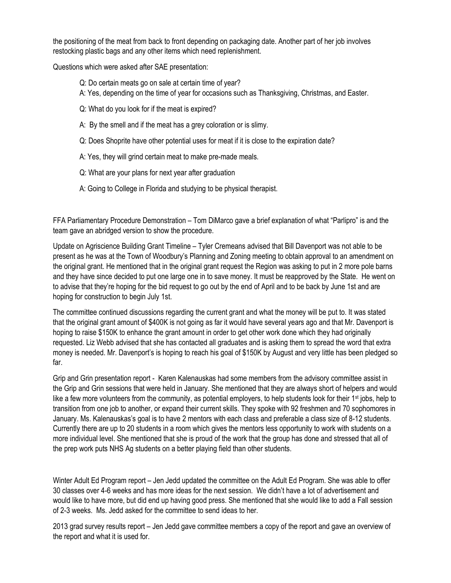the positioning of the meat from back to front depending on packaging date. Another part of her job involves restocking plastic bags and any other items which need replenishment.

Questions which were asked after SAE presentation:

- Q: Do certain meats go on sale at certain time of year?
- A: Yes, depending on the time of year for occasions such as Thanksgiving, Christmas, and Easter.
- Q: What do you look for if the meat is expired?
- A: By the smell and if the meat has a grey coloration or is slimy.
- Q: Does Shoprite have other potential uses for meat if it is close to the expiration date?
- A: Yes, they will grind certain meat to make pre-made meals.
- Q: What are your plans for next year after graduation
- A: Going to College in Florida and studying to be physical therapist.

FFA Parliamentary Procedure Demonstration – Tom DiMarco gave a brief explanation of what "Parlipro" is and the team gave an abridged version to show the procedure.

Update on Agriscience Building Grant Timeline – Tyler Cremeans advised that Bill Davenport was not able to be present as he was at the Town of Woodbury's Planning and Zoning meeting to obtain approval to an amendment on the original grant. He mentioned that in the original grant request the Region was asking to put in 2 more pole barns and they have since decided to put one large one in to save money. It must be reapproved by the State. He went on to advise that they're hoping for the bid request to go out by the end of April and to be back by June 1st and are hoping for construction to begin July 1st.

The committee continued discussions regarding the current grant and what the money will be put to. It was stated that the original grant amount of \$400K is not going as far it would have several years ago and that Mr. Davenport is hoping to raise \$150K to enhance the grant amount in order to get other work done which they had originally requested. Liz Webb advised that she has contacted all graduates and is asking them to spread the word that extra money is needed. Mr. Davenport's is hoping to reach his goal of \$150K by August and very little has been pledged so far.

Grip and Grin presentation report - Karen Kalenauskas had some members from the advisory committee assist in the Grip and Grin sessions that were held in January. She mentioned that they are always short of helpers and would like a few more volunteers from the community, as potential employers, to help students look for their 1<sup>st</sup> jobs, help to transition from one job to another, or expand their current skills. They spoke with 92 freshmen and 70 sophomores in January. Ms. Kalenauskas's goal is to have 2 mentors with each class and preferable a class size of 8-12 students. Currently there are up to 20 students in a room which gives the mentors less opportunity to work with students on a more individual level. She mentioned that she is proud of the work that the group has done and stressed that all of the prep work puts NHS Ag students on a better playing field than other students.

Winter Adult Ed Program report – Jen Jedd updated the committee on the Adult Ed Program. She was able to offer 30 classes over 4-6 weeks and has more ideas for the next session. We didn't have a lot of advertisement and would like to have more, but did end up having good press. She mentioned that she would like to add a Fall session of 2-3 weeks. Ms. Jedd asked for the committee to send ideas to her.

2013 grad survey results report – Jen Jedd gave committee members a copy of the report and gave an overview of the report and what it is used for.